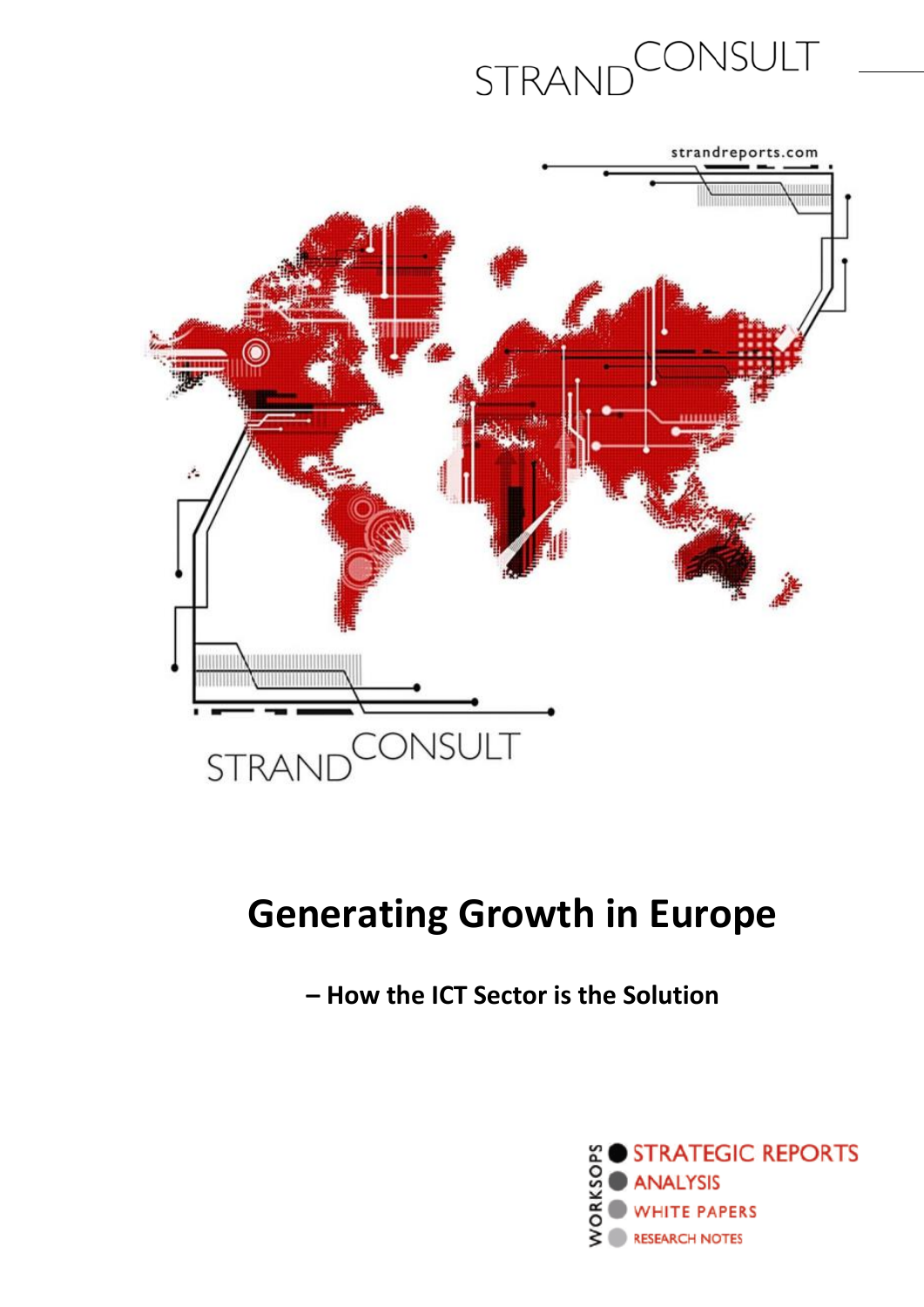



### **Generating Growth in Europe**

**– How the ICT Sector is the Solution**

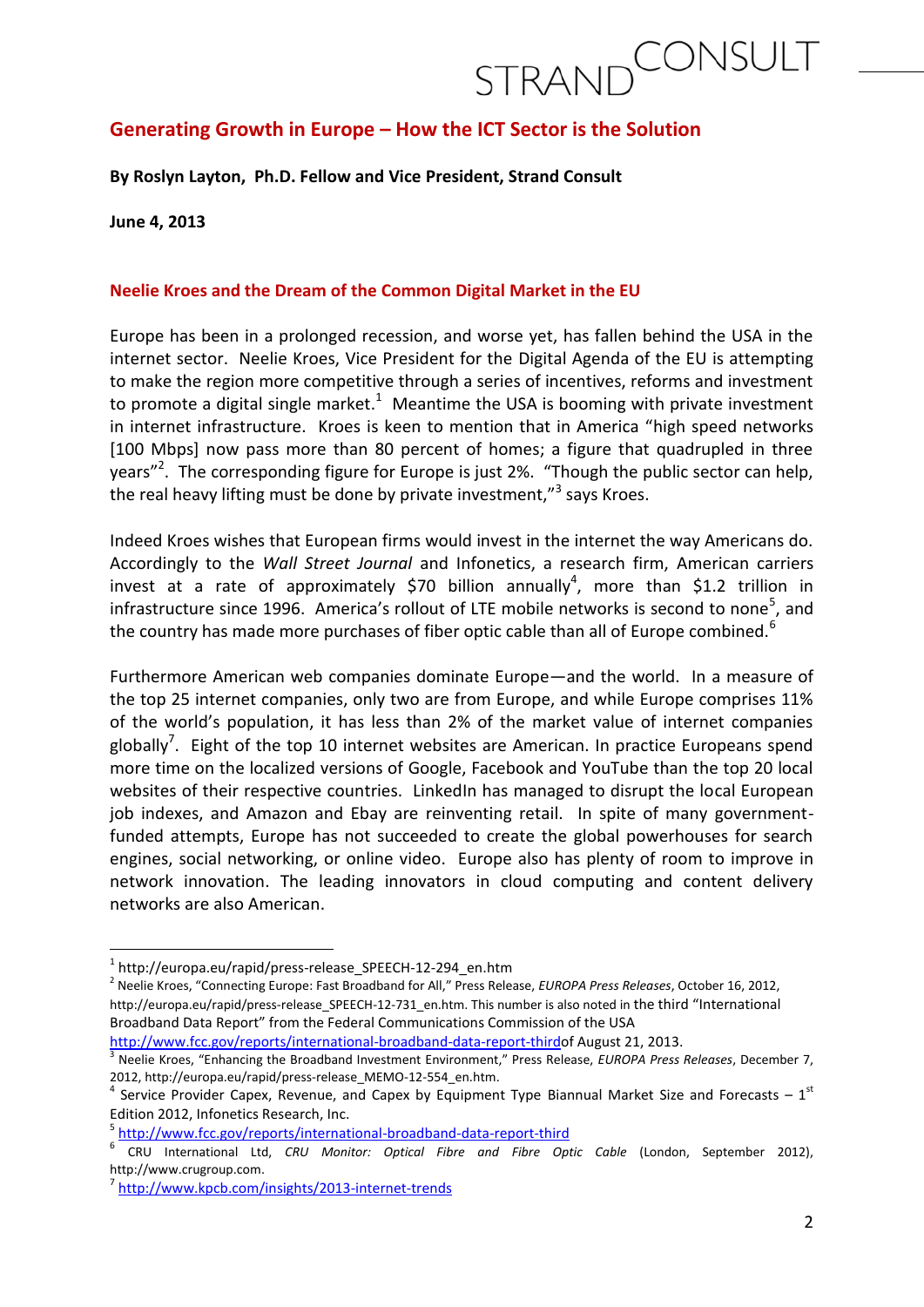#### **Generating Growth in Europe – How the ICT Sector is the Solution**

**By Roslyn Layton, Ph.D. Fellow and Vice President, Strand Consult**

**June 4, 2013**

**.** 

#### **Neelie Kroes and the Dream of the Common Digital Market in the EU**

Europe has been in a prolonged recession, and worse yet, has fallen behind the USA in the internet sector. Neelie Kroes, Vice President for the Digital Agenda of the EU is attempting to make the region more competitive through a series of incentives, reforms and investment to promote a digital single market.<sup>1</sup> Meantime the USA is booming with private investment in internet infrastructure. Kroes is keen to mention that in America "high speed networks [100 Mbps] now pass more than 80 percent of homes; a figure that quadrupled in three years"<sup>2</sup>. The corresponding figure for Europe is just 2%. "Though the public sector can help, the real heavy lifting must be done by private investment,"<sup>3</sup> says Kroes.

Indeed Kroes wishes that European firms would invest in the internet the way Americans do. Accordingly to the *Wall Street Journal* and Infonetics, a research firm, American carriers invest at a rate of approximately \$70 billion annually<sup>4</sup>, more than \$1.2 trillion in infrastructure since 1996. America's rollout of LTE mobile networks is second to none<sup>5</sup>, and the country has made more purchases of fiber optic cable than all of Europe combined.<sup>6</sup>

Furthermore American web companies dominate Europe—and the world. In a measure of the top 25 internet companies, only two are from Europe, and while Europe comprises 11% of the world's population, it has less than 2% of the market value of internet companies globally<sup>7</sup>. Eight of the top 10 internet websites are American. In practice Europeans spend more time on the localized versions of Google, Facebook and YouTube than the top 20 local websites of their respective countries. LinkedIn has managed to disrupt the local European job indexes, and Amazon and Ebay are reinventing retail. In spite of many governmentfunded attempts, Europe has not succeeded to create the global powerhouses for search engines, social networking, or online video.Europe also has plenty of room to improve in network innovation. The leading innovators in cloud computing and content delivery networks are also American.

[http://www.fcc.gov/reports/international-broadband-data-report-thirdo](http://www.fcc.gov/reports/international-broadband-data-report-third)f August 21, 2013.

<sup>5</sup> <http://www.fcc.gov/reports/international-broadband-data-report-third>

<sup>1</sup> http://europa.eu/rapid/press-release\_SPEECH-12-294\_en.htm

<sup>2</sup> Neelie Kroes, "Connecting Europe: Fast Broadband for All," Press Release, *EUROPA Press Releases*, October 16, 2012, http://europa.eu/rapid/press-release\_SPEECH-12-731\_en.htm. This number is also noted in the third "International Broadband Data Report" from the Federal Communications Commission of the USA

<sup>3</sup> Neelie Kroes, "Enhancing the Broadband Investment Environment," Press Release, *EUROPA Press Releases*, December 7, 2012, http://europa.eu/rapid/press-release\_MEMO-12-554\_en.htm.

<sup>&</sup>lt;sup>4</sup> Service Provider Capex, Revenue, and Capex by Equipment Type Biannual Market Size and Forecasts – 1<sup>st</sup> Edition 2012, Infonetics Research, Inc.

<sup>6</sup> CRU International Ltd, *CRU Monitor: Optical Fibre and Fibre Optic Cable* (London, September 2012), http://www.crugroup.com.

<sup>&</sup>lt;sup>7</sup> <http://www.kpcb.com/insights/2013-internet-trends>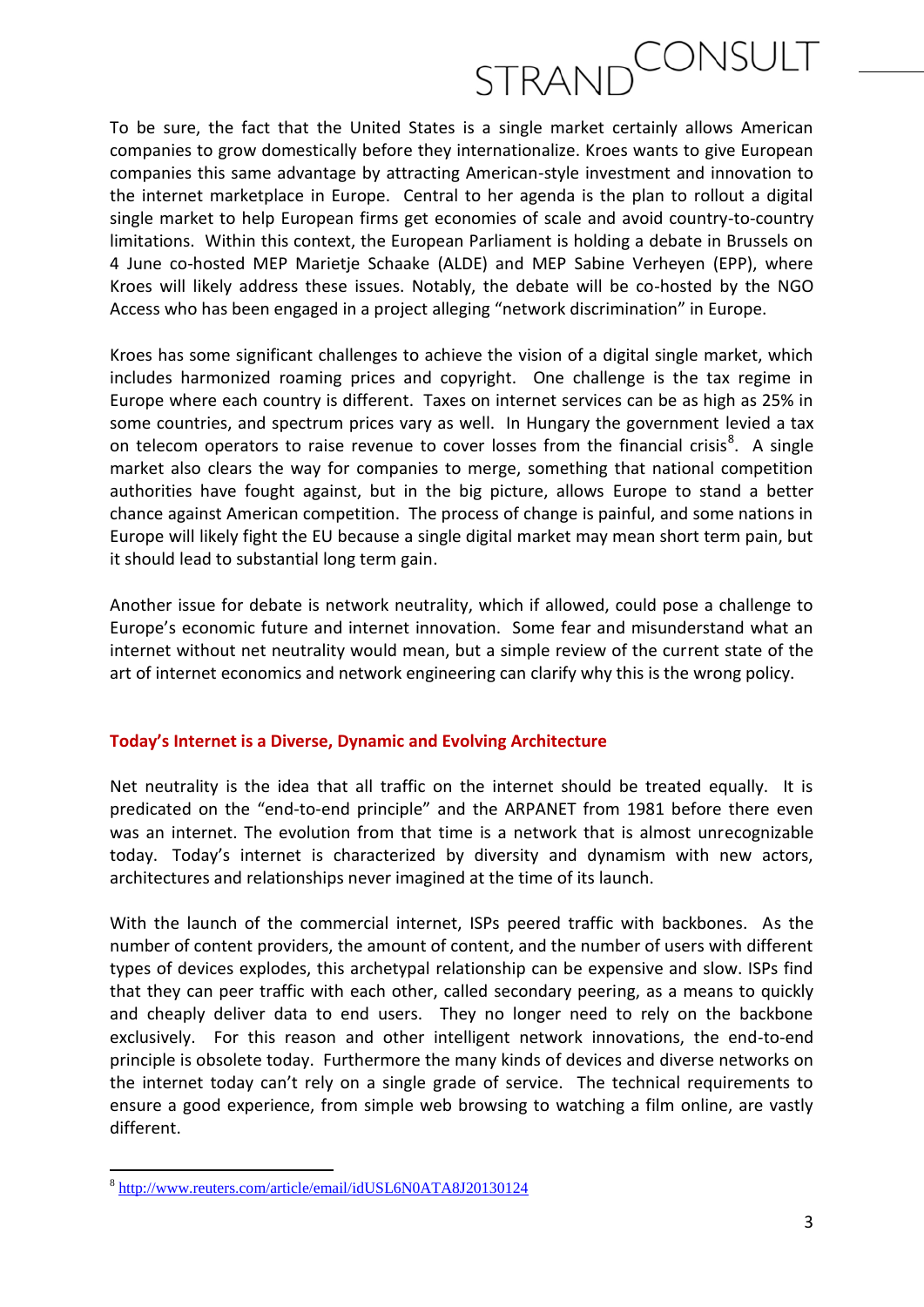To be sure, the fact that the United States is a single market certainly allows American companies to grow domestically before they internationalize. Kroes wants to give European companies this same advantage by attracting American-style investment and innovation to the internet marketplace in Europe. Central to her agenda is the plan to rollout a digital single market to help European firms get economies of scale and avoid country-to-country limitations. Within this context, the European Parliament is holding a debate in Brussels on 4 June co-hosted MEP Marietje Schaake (ALDE) and MEP Sabine Verheyen (EPP), where Kroes will likely address these issues. Notably, the debate will be co-hosted by the NGO Access who has been engaged in a project alleging "network discrimination" in Europe.

Kroes has some significant challenges to achieve the vision of a digital single market, which includes harmonized roaming prices and copyright. One challenge is the tax regime in Europe where each country is different. Taxes on internet services can be as high as 25% in some countries, and spectrum prices vary as well. In Hungary the government levied a tax on telecom operators to raise revenue to cover losses from the financial crisis<sup>8</sup>. A single market also clears the way for companies to merge, something that national competition authorities have fought against, but in the big picture, allows Europe to stand a better chance against American competition. The process of change is painful, and some nations in Europe will likely fight the EU because a single digital market may mean short term pain, but it should lead to substantial long term gain.

Another issue for debate is network neutrality, which if allowed, could pose a challenge to Europe's economic future and internet innovation. Some fear and misunderstand what an internet without net neutrality would mean, but a simple review of the current state of the art of internet economics and network engineering can clarify why this is the wrong policy.

#### **Today's Internet is a Diverse, Dynamic and Evolving Architecture**

Net neutrality is the idea that all traffic on the internet should be treated equally. It is predicated on the "end-to-end principle" and the ARPANET from 1981 before there even was an internet. The evolution from that time is a network that is almost unrecognizable today. Today's internet is characterized by diversity and dynamism with new actors, architectures and relationships never imagined at the time of its launch.

With the launch of the commercial internet, ISPs peered traffic with backbones. As the number of content providers, the amount of content, and the number of users with different types of devices explodes, this archetypal relationship can be expensive and slow. ISPs find that they can peer traffic with each other, called secondary peering, as a means to quickly and cheaply deliver data to end users. They no longer need to rely on the backbone exclusively. For this reason and other intelligent network innovations, the end-to-end principle is obsolete today. Furthermore the many kinds of devices and diverse networks on the internet today can't rely on a single grade of service. The technical requirements to ensure a good experience, from simple web browsing to watching a film online, are vastly different.

<sup>8&</sup>lt;br><sup>8</sup> <http://www.reuters.com/article/email/idUSL6N0ATA8J20130124>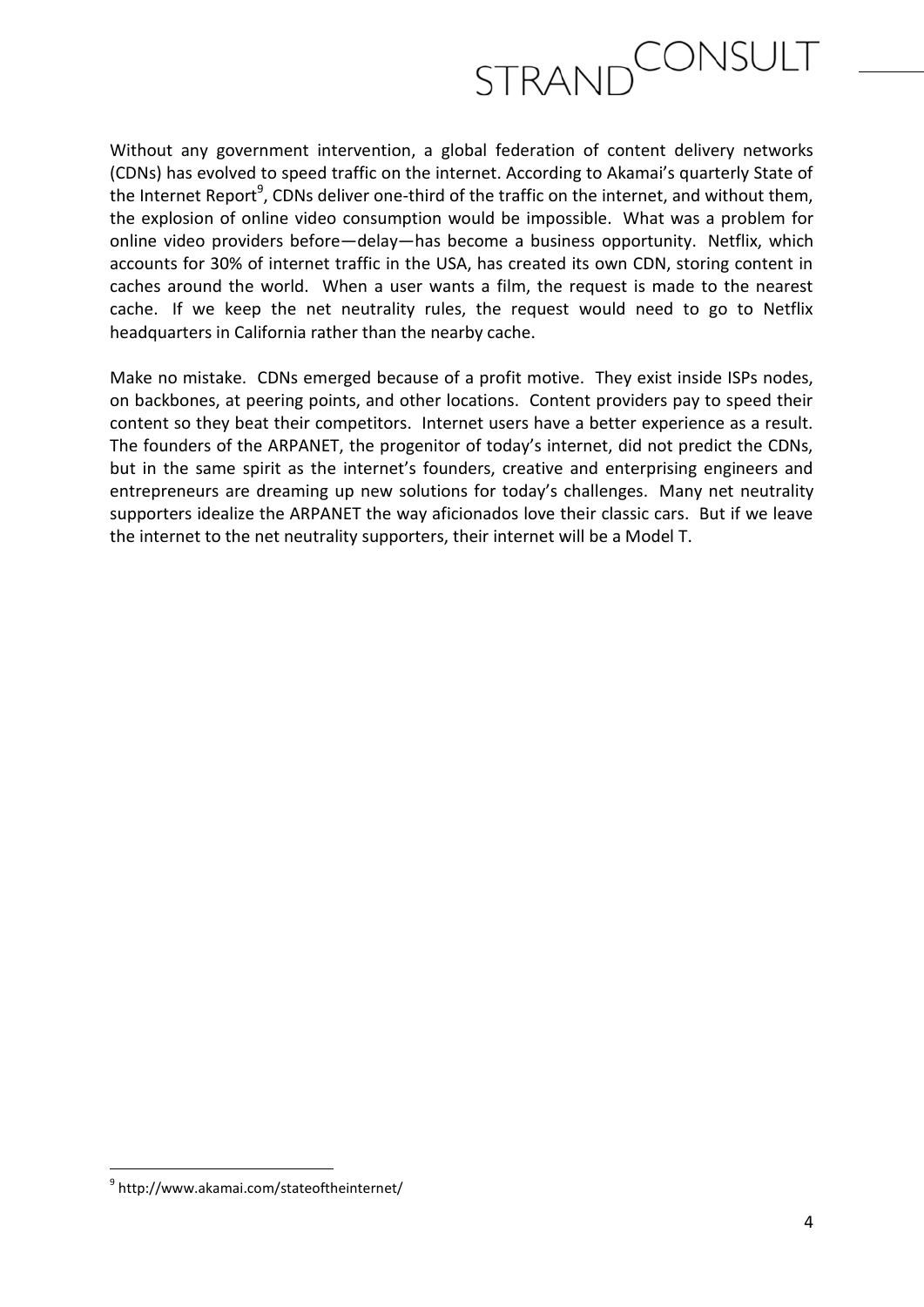Without any government intervention, a global federation of content delivery networks (CDNs) has evolved to speed traffic on the internet. According to Akamai's quarterly State of the Internet Report<sup>9</sup>, CDNs deliver one-third of the traffic on the internet, and without them, the explosion of online video consumption would be impossible. What was a problem for online video providers before—delay—has become a business opportunity. Netflix, which accounts for 30% of internet traffic in the USA, has created its own CDN, storing content in caches around the world. When a user wants a film, the request is made to the nearest cache. If we keep the net neutrality rules, the request would need to go to Netflix headquarters in California rather than the nearby cache.

Make no mistake. CDNs emerged because of a profit motive. They exist inside ISPs nodes, on backbones, at peering points, and other locations. Content providers pay to speed their content so they beat their competitors. Internet users have a better experience as a result. The founders of the ARPANET, the progenitor of today's internet, did not predict the CDNs, but in the same spirit as the internet's founders, creative and enterprising engineers and entrepreneurs are dreaming up new solutions for today's challenges. Many net neutrality supporters idealize the ARPANET the way aficionados love their classic cars. But if we leave the internet to the net neutrality supporters, their internet will be a Model T.

**.** 

<sup>9</sup> http://www.akamai.com/stateoftheinternet/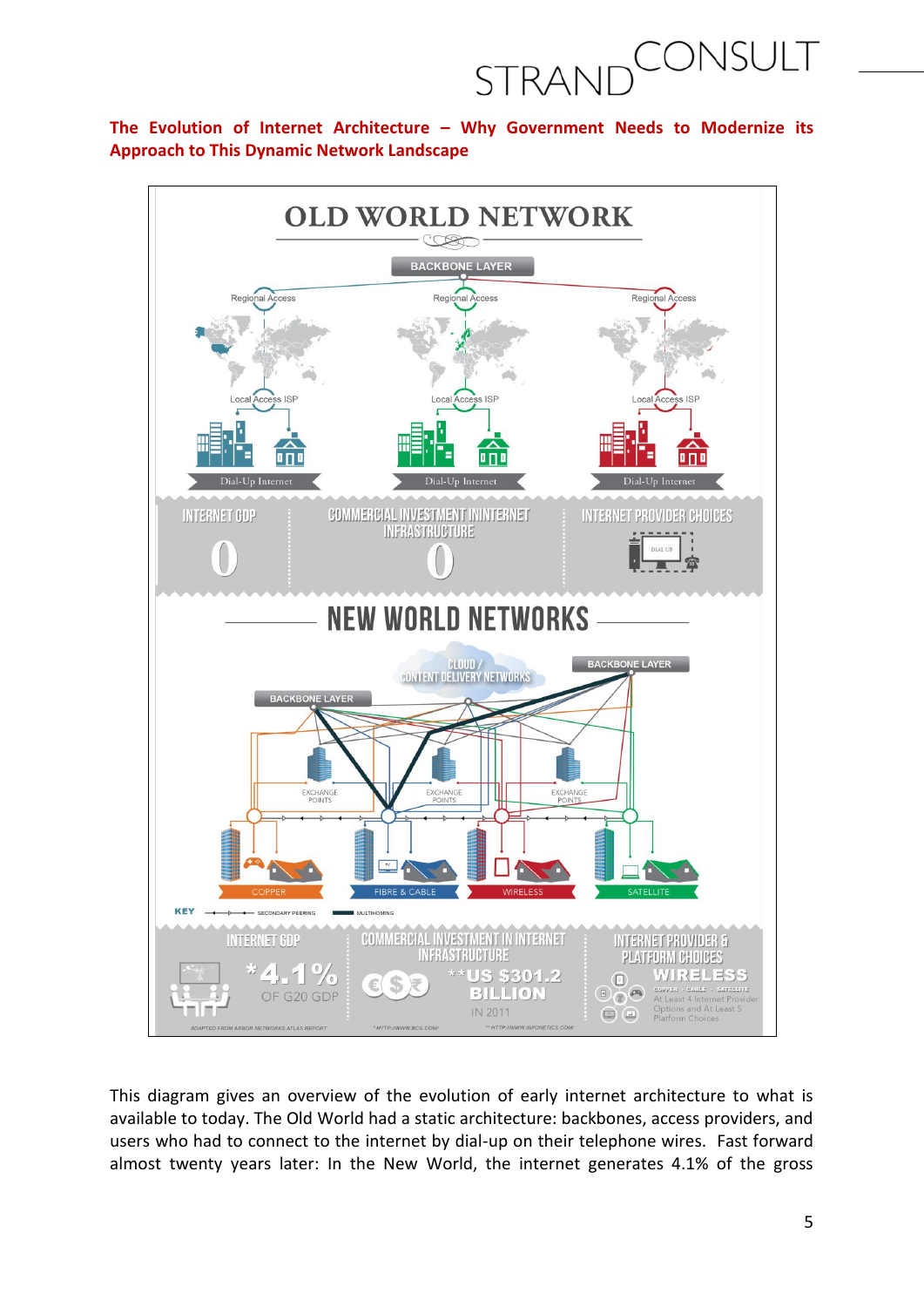### CONSULT STRAND

#### **The Evolution of Internet Architecture – Why Government Needs to Modernize its Approach to This Dynamic Network Landscape**



This diagram gives an overview of the evolution of early internet architecture to what is available to today. The Old World had a static architecture: backbones, access providers, and users who had to connect to the internet by dial-up on their telephone wires. Fast forward almost twenty years later: In the New World, the internet generates 4.1% of the gross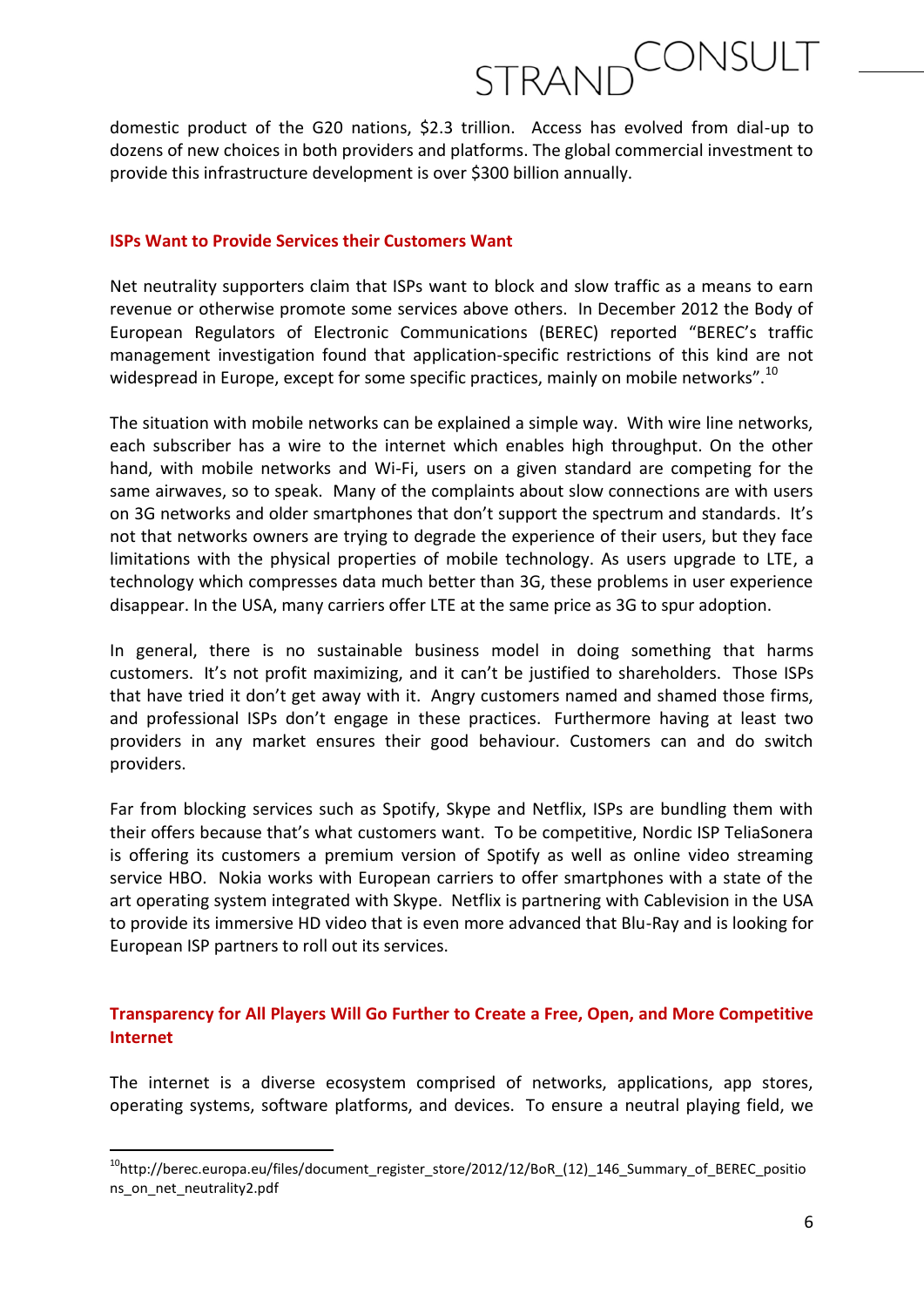domestic product of the G20 nations, \$2.3 trillion. Access has evolved from dial-up to dozens of new choices in both providers and platforms. The global commercial investment to provide this infrastructure development is over \$300 billion annually.

#### **ISPs Want to Provide Services their Customers Want**

Net neutrality supporters claim that ISPs want to block and slow traffic as a means to earn revenue or otherwise promote some services above others. In December 2012 the Body of European Regulators of Electronic Communications (BEREC) reported "BEREC's traffic management investigation found that application-specific restrictions of this kind are not widespread in Europe, except for some specific practices, mainly on mobile networks".<sup>10</sup>

The situation with mobile networks can be explained a simple way. With wire line networks, each subscriber has a wire to the internet which enables high throughput. On the other hand, with mobile networks and Wi-Fi, users on a given standard are competing for the same airwaves, so to speak. Many of the complaints about slow connections are with users on 3G networks and older smartphones that don't support the spectrum and standards. It's not that networks owners are trying to degrade the experience of their users, but they face limitations with the physical properties of mobile technology. As users upgrade to LTE, a technology which compresses data much better than 3G, these problems in user experience disappear. In the USA, many carriers offer LTE at the same price as 3G to spur adoption.

In general, there is no sustainable business model in doing something that harms customers. It's not profit maximizing, and it can't be justified to shareholders. Those ISPs that have tried it don't get away with it. Angry customers named and shamed those firms, and professional ISPs don't engage in these practices. Furthermore having at least two providers in any market ensures their good behaviour. Customers can and do switch providers.

Far from blocking services such as Spotify, Skype and Netflix, ISPs are bundling them with their offers because that's what customers want. To be competitive, Nordic ISP TeliaSonera is offering its customers a premium version of Spotify as well as online video streaming service HBO. Nokia works with European carriers to offer smartphones with a state of the art operating system integrated with Skype. Netflix is partnering with Cablevision in the USA to provide its immersive HD video that is even more advanced that Blu-Ray and is looking for European ISP partners to roll out its services.

#### **Transparency for All Players Will Go Further to Create a Free, Open, and More Competitive Internet**

The internet is a diverse ecosystem comprised of networks, applications, app stores, operating systems, software platforms, and devices. To ensure a neutral playing field, we

**.** 

<sup>&</sup>lt;sup>10</sup>http://berec.europa.eu/files/document\_register\_store/2012/12/BoR\_(12)\_146\_Summary\_of\_BEREC\_positio ns\_on\_net\_neutrality2.pdf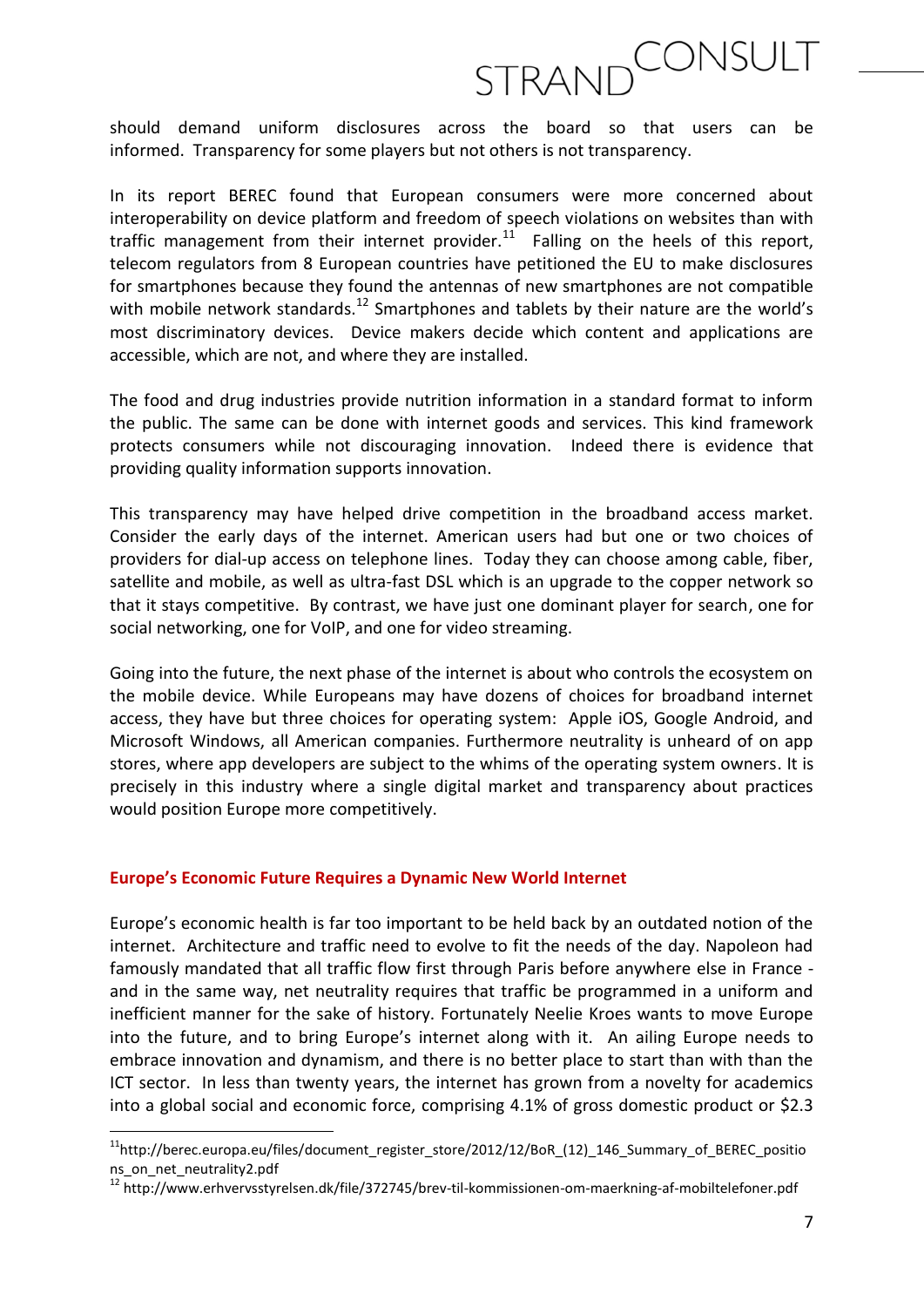should demand uniform disclosures across the board so that users can be informed. Transparency for some players but not others is not transparency.

In its report BEREC found that European consumers were more concerned about interoperability on device platform and freedom of speech violations on websites than with traffic management from their internet provider. $11$  Falling on the heels of this report, telecom regulators from 8 European countries have petitioned the EU to make disclosures for smartphones because they found the antennas of new smartphones are not compatible with mobile network standards.<sup>12</sup> Smartphones and tablets by their nature are the world's most discriminatory devices. Device makers decide which content and applications are accessible, which are not, and where they are installed.

The food and drug industries provide nutrition information in a standard format to inform the public. The same can be done with internet goods and services. This kind framework protects consumers while not discouraging innovation. Indeed there is evidence that providing quality information supports innovation.

This transparency may have helped drive competition in the broadband access market. Consider the early days of the internet. American users had but one or two choices of providers for dial-up access on telephone lines. Today they can choose among cable, fiber, satellite and mobile, as well as ultra-fast DSL which is an upgrade to the copper network so that it stays competitive. By contrast, we have just one dominant player for search, one for social networking, one for VoIP, and one for video streaming.

Going into the future, the next phase of the internet is about who controls the ecosystem on the mobile device. While Europeans may have dozens of choices for broadband internet access, they have but three choices for operating system: Apple iOS, Google Android, and Microsoft Windows, all American companies. Furthermore neutrality is unheard of on app stores, where app developers are subject to the whims of the operating system owners. It is precisely in this industry where a single digital market and transparency about practices would position Europe more competitively.

#### **Europe's Economic Future Requires a Dynamic New World Internet**

**.** 

Europe's economic health is far too important to be held back by an outdated notion of the internet. Architecture and traffic need to evolve to fit the needs of the day. Napoleon had famously mandated that all traffic flow first through Paris before anywhere else in France and in the same way, net neutrality requires that traffic be programmed in a uniform and inefficient manner for the sake of history. Fortunately Neelie Kroes wants to move Europe into the future, and to bring Europe's internet along with it. An ailing Europe needs to embrace innovation and dynamism, and there is no better place to start than with than the ICT sector. In less than twenty years, the internet has grown from a novelty for academics into a global social and economic force, comprising 4.1% of gross domestic product or \$2.3

<sup>11</sup>http://berec.europa.eu/files/document\_register\_store/2012/12/BoR\_(12)\_146\_Summary\_of\_BEREC\_positio ns\_on\_net\_neutrality2.pdf

<sup>&</sup>lt;sup>12</sup> http://www.erhvervsstyrelsen.dk/file/372745/brev-til-kommissionen-om-maerkning-af-mobiltelefoner.pdf